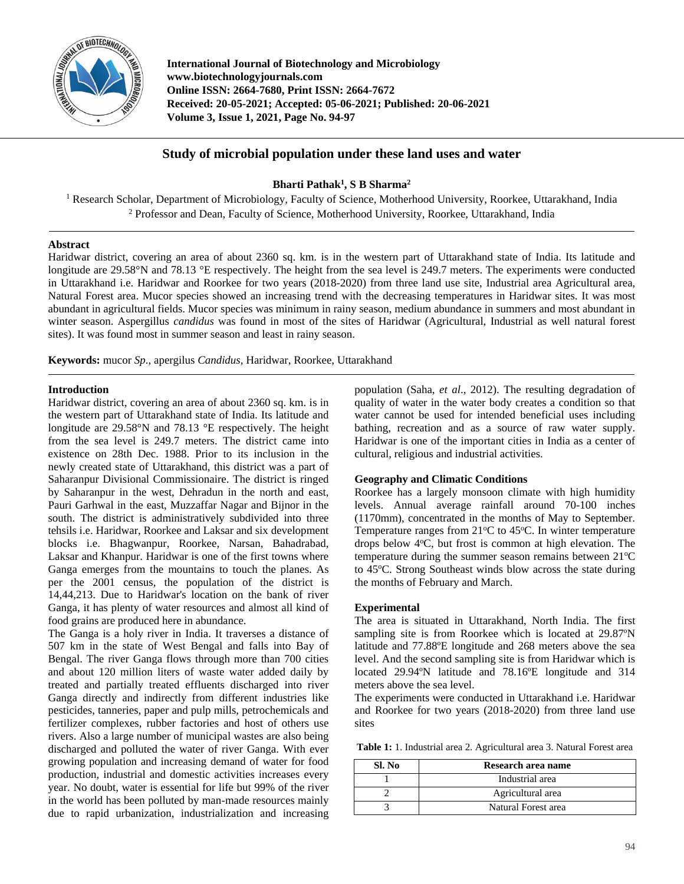

**International Journal of Biotechnology and Microbiology www.biotechnologyjournals.com Online ISSN: 2664-7680, Print ISSN: 2664-7672 Received: 20-05-2021; Accepted: 05-06-2021; Published: 20-06-2021 Volume 3, Issue 1, 2021, Page No. 94-97**

# **Study of microbial population under these land uses and water**

## **Bharti Pathak<sup>1</sup> , S B Sharma<sup>2</sup>**

<sup>1</sup> Research Scholar, Department of Microbiology, Faculty of Science, Motherhood University, Roorkee, Uttarakhand, India <sup>2</sup> Professor and Dean, Faculty of Science, Motherhood University, Roorkee, Uttarakhand, India

### **Abstract**

Haridwar district, covering an area of about 2360 sq. km. is in the western part of Uttarakhand state of India. Its latitude and longitude are 29.58°N and 78.13 °E respectively. The height from the sea level is 249.7 meters. The experiments were conducted in Uttarakhand i.e. Haridwar and Roorkee for two years (2018-2020) from three land use site, Industrial area Agricultural area, Natural Forest area. Mucor species showed an increasing trend with the decreasing temperatures in Haridwar sites. It was most abundant in agricultural fields. Mucor species was minimum in rainy season, medium abundance in summers and most abundant in winter season. Aspergillus *candidus* was found in most of the sites of Haridwar (Agricultural, Industrial as well natural forest sites). It was found most in summer season and least in rainy season.

**Keywords:** mucor *Sp*., apergilus *Candidus,* Haridwar, Roorkee, Uttarakhand

### **Introduction**

Haridwar district, covering an area of about 2360 sq. km. is in the western part of Uttarakhand state of India. Its latitude and longitude are 29.58°N and 78.13 °E respectively. The height from the sea level is 249.7 meters. The district came into existence on 28th Dec. 1988. Prior to its inclusion in the newly created state of Uttarakhand, this district was a part of Saharanpur Divisional Commissionaire. The district is ringed by Saharanpur in the west, Dehradun in the north and east, Pauri Garhwal in the east, Muzzaffar Nagar and Bijnor in the south. The district is administratively subdivided into three tehsils i.e. Haridwar, Roorkee and Laksar and six development blocks i.e. Bhagwanpur, Roorkee, Narsan, Bahadrabad, Laksar and Khanpur. Haridwar is one of the first towns where Ganga emerges from the mountains to touch the planes. As per the 2001 census, the population of the district is 14,44,213. Due to Haridwar's location on the bank of river Ganga, it has plenty of water resources and almost all kind of food grains are produced here in abundance.

The Ganga is a holy river in India. It traverses a distance of 507 km in the state of West Bengal and falls into Bay of Bengal. The river Ganga flows through more than 700 cities and about 120 million liters of waste water added daily by treated and partially treated effluents discharged into river Ganga directly and indirectly from different industries like pesticides, tanneries, paper and pulp mills, petrochemicals and fertilizer complexes, rubber factories and host of others use rivers. Also a large number of municipal wastes are also being discharged and polluted the water of river Ganga. With ever growing population and increasing demand of water for food production, industrial and domestic activities increases every year. No doubt, water is essential for life but 99% of the river in the world has been polluted by man-made resources mainly due to rapid urbanization, industrialization and increasing

population (Saha, *et al*., 2012). The resulting degradation of quality of water in the water body creates a condition so that water cannot be used for intended beneficial uses including bathing, recreation and as a source of raw water supply. Haridwar is one of the important cities in India as a center of cultural, religious and industrial activities.

## **Geography and Climatic Conditions**

Roorkee has a largely monsoon climate with high humidity levels. Annual average rainfall around 70-100 inches (1170mm), concentrated in the months of May to September. Temperature ranges from  $21^{\circ}$ C to  $45^{\circ}$ C. In winter temperature drops below  $4^{\circ}$ C, but frost is common at high elevation. The temperature during the summer season remains between  $21^{\circ}C$ to 45°C. Strong Southeast winds blow across the state during the months of February and March.

### **Experimental**

The area is situated in Uttarakhand, North India. The first sampling site is from Roorkee which is located at 29.87ºN latitude and 77.88ºE longitude and 268 meters above the sea level. And the second sampling site is from Haridwar which is located 29.94ºN latitude and 78.16ºE longitude and 314 meters above the sea level.

The experiments were conducted in Uttarakhand i.e. Haridwar and Roorkee for two years (2018-2020) from three land use sites

**Table 1:** 1. Industrial area 2. Agricultural area 3. Natural Forest area

| Sl. No | Research area name  |  |  |
|--------|---------------------|--|--|
|        | Industrial area     |  |  |
|        | Agricultural area   |  |  |
|        | Natural Forest area |  |  |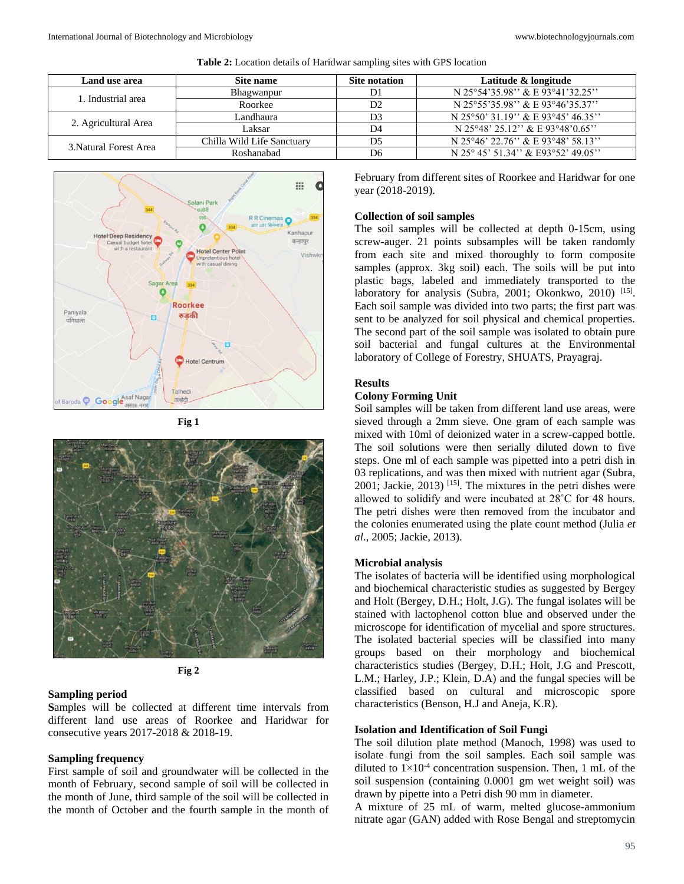| Land use area          | Site name                  | Site notation  | Latitude & longitude                |
|------------------------|----------------------------|----------------|-------------------------------------|
| 1. Industrial area     | Bhagwanpur                 | D1             | N 25°54'35.98" & E 93°41'32.25"     |
|                        | Roorkee                    | D <sub>2</sub> | N 25°55'35.98" & E 93°46'35.37"     |
| 2. Agricultural Area   | Landhaura                  | D <sub>3</sub> | N 25°50' 31.19" & E 93°45' 46.35"   |
|                        | Laksar                     | D4             | N 25°48' 25.12" & E 93°48'0.65"     |
| 3. Natural Forest Area | Chilla Wild Life Sanctuary | D <sub>5</sub> | N 25°46' 22.76'' & E 93°48' 58.13'' |
|                        | Roshanabad                 | D6             | N 25° 45' 51.34" & E93°52' 49.05"   |





**Fig 1**





#### **Sampling period**

**S**amples will be collected at different time intervals from different land use areas of Roorkee and Haridwar for consecutive years 2017-2018 & 2018-19.

#### **Sampling frequency**

First sample of soil and groundwater will be collected in the month of February, second sample of soil will be collected in the month of June, third sample of the soil will be collected in the month of October and the fourth sample in the month of February from different sites of Roorkee and Haridwar for one year (2018-2019).

#### **Collection of soil samples**

The soil samples will be collected at depth 0-15cm, using screw-auger. 21 points subsamples will be taken randomly from each site and mixed thoroughly to form composite samples (approx. 3kg soil) each. The soils will be put into plastic bags, labeled and immediately transported to the laboratory for analysis (Subra, 2001; Okonkwo, 2010)<sup>[15]</sup>. Each soil sample was divided into two parts; the first part was sent to be analyzed for soil physical and chemical properties. The second part of the soil sample was isolated to obtain pure soil bacterial and fungal cultures at the Environmental laboratory of College of Forestry, SHUATS, Prayagraj.

### **Results**

#### **Colony Forming Unit**

Soil samples will be taken from different land use areas, were sieved through a 2mm sieve. One gram of each sample was mixed with 10ml of deionized water in a screw-capped bottle. The soil solutions were then serially diluted down to five steps. One ml of each sample was pipetted into a petri dish in 03 replications, and was then mixed with nutrient agar (Subra, 2001; Jackie, 2013) [15] . The mixtures in the petri dishes were allowed to solidify and were incubated at 28˚C for 48 hours. The petri dishes were then removed from the incubator and the colonies enumerated using the plate count method (Julia *et al*., 2005; Jackie, 2013).

#### **Microbial analysis**

The isolates of bacteria will be identified using morphological and biochemical characteristic studies as suggested by Bergey and Holt (Bergey, D.H.; Holt, J.G). The fungal isolates will be stained with lactophenol cotton blue and observed under the microscope for identification of mycelial and spore structures. The isolated bacterial species will be classified into many groups based on their morphology and biochemical characteristics studies (Bergey, D.H.; Holt, J.G and Prescott, L.M.; Harley, J.P.; Klein, D.A) and the fungal species will be classified based on cultural and microscopic spore characteristics (Benson, H.J and Aneja, K.R).

#### **Isolation and Identification of Soil Fungi**

The soil dilution plate method (Manoch, 1998) was used to isolate fungi from the soil samples. Each soil sample was diluted to  $1 \times 10^{-4}$  concentration suspension. Then, 1 mL of the soil suspension (containing 0.0001 gm wet weight soil) was drawn by pipette into a Petri dish 90 mm in diameter.

A mixture of 25 mL of warm, melted glucose-ammonium nitrate agar (GAN) added with Rose Bengal and streptomycin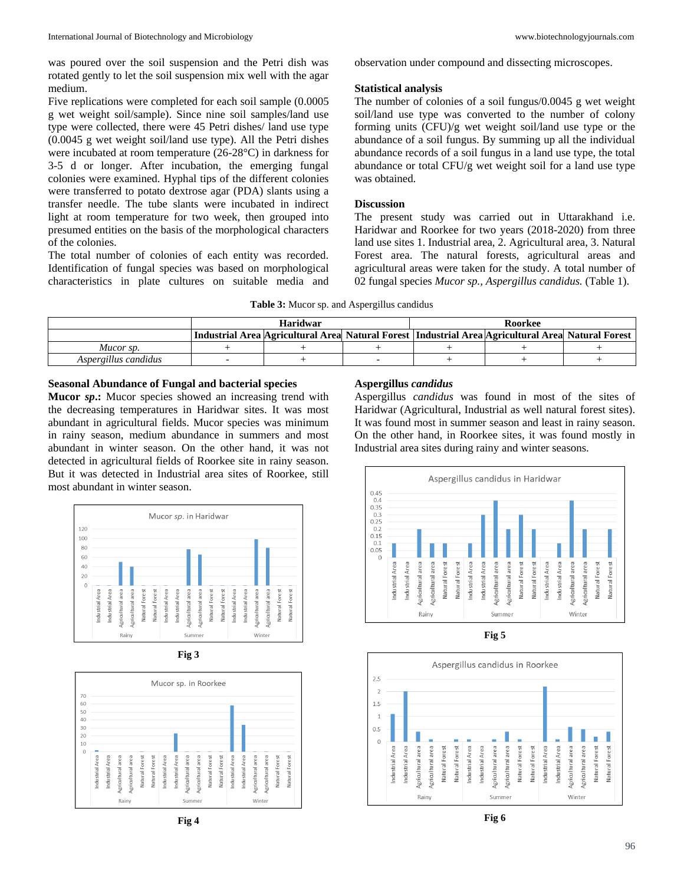was poured over the soil suspension and the Petri dish was rotated gently to let the soil suspension mix well with the agar medium.

Five replications were completed for each soil sample (0.0005 g wet weight soil/sample). Since nine soil samples/land use type were collected, there were 45 Petri dishes/ land use type (0.0045 g wet weight soil/land use type). All the Petri dishes were incubated at room temperature (26-28°C) in darkness for 3-5 d or longer. After incubation, the emerging fungal colonies were examined. Hyphal tips of the different colonies were transferred to potato dextrose agar (PDA) slants using a transfer needle. The tube slants were incubated in indirect light at room temperature for two week, then grouped into presumed entities on the basis of the morphological characters of the colonies.

The total number of colonies of each entity was recorded. Identification of fungal species was based on morphological characteristics in plate cultures on suitable media and observation under compound and dissecting microscopes.

### **Statistical analysis**

The number of colonies of a soil fungus/0.0045 g wet weight soil/land use type was converted to the number of colony forming units (CFU)/g wet weight soil/land use type or the abundance of a soil fungus. By summing up all the individual abundance records of a soil fungus in a land use type, the total abundance or total CFU/g wet weight soil for a land use type was obtained.

### **Discussion**

The present study was carried out in Uttarakhand i.e. Haridwar and Roorkee for two years (2018-2020) from three land use sites 1. Industrial area, 2. Agricultural area, 3. Natural Forest area. The natural forests, agricultural areas and agricultural areas were taken for the study. A total number of 02 fungal species *Mucor sp., Aspergillus candidus.* (Table 1).

**Table 3:** Mucor sp. and Aspergillus candidus

|                      | <b>Haridwar</b> |                                                                                                     |  | Roorkee |  |  |
|----------------------|-----------------|-----------------------------------------------------------------------------------------------------|--|---------|--|--|
|                      |                 | Industrial Area Agricultural Area Natural Forest   Industrial Area Agricultural Area Natural Forest |  |         |  |  |
| Mucor sp.            |                 |                                                                                                     |  |         |  |  |
| Aspergillus candidus |                 |                                                                                                     |  |         |  |  |

### **Seasonal Abundance of Fungal and bacterial species**

**Mucor** *sp***.:** Mucor species showed an increasing trend with the decreasing temperatures in Haridwar sites. It was most abundant in agricultural fields. Mucor species was minimum in rainy season, medium abundance in summers and most abundant in winter season. On the other hand, it was not detected in agricultural fields of Roorkee site in rainy season. But it was detected in Industrial area sites of Roorkee, still most abundant in winter season.







**Fig 4**

## **Aspergillus** *candidus*

Aspergillus *candidus* was found in most of the sites of Haridwar (Agricultural, Industrial as well natural forest sites). It was found most in summer season and least in rainy season. On the other hand, in Roorkee sites, it was found mostly in Industrial area sites during rainy and winter seasons.